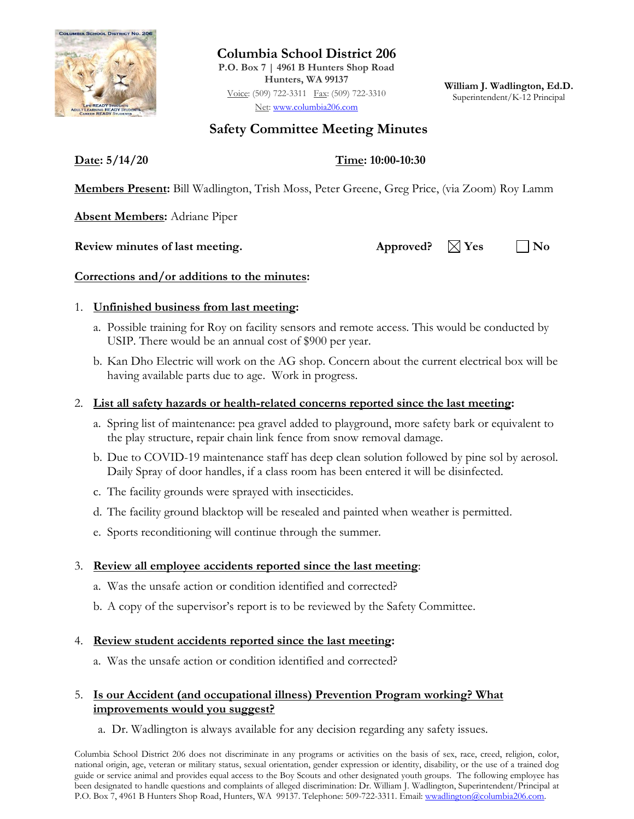

**Columbia School District 206 P.O. Box 7 | 4961 B Hunters Shop Road Hunters, WA 99137** Voice: (509) 722-3311 Fax: (509) 722-3310 Net: [www.columbia206.com](http://www.columbia206.com/)

**William J. Wadlington, Ed.D.** Superintendent/K-12 Principal

# **Safety Committee Meeting Minutes**

**Date: 5/14/20 Time: 10:00-10:30**

**Members Present:** Bill Wadlington, Trish Moss, Peter Greene, Greg Price, (via Zoom) Roy Lamm

**Absent Members:** Adriane Piper

**Review minutes of last meeting.** Approved?  $\boxtimes$  Yes  $\Box$  No

#### **Corrections and/or additions to the minutes:**

#### 1. **Unfinished business from last meeting:**

- a. Possible training for Roy on facility sensors and remote access. This would be conducted by USIP. There would be an annual cost of \$900 per year.
- b. Kan Dho Electric will work on the AG shop. Concern about the current electrical box will be having available parts due to age. Work in progress.

### 2. **List all safety hazards or health-related concerns reported since the last meeting:**

- a. Spring list of maintenance: pea gravel added to playground, more safety bark or equivalent to the play structure, repair chain link fence from snow removal damage.
- b. Due to COVID-19 maintenance staff has deep clean solution followed by pine sol by aerosol. Daily Spray of door handles, if a class room has been entered it will be disinfected.
- c. The facility grounds were sprayed with insecticides.
- d. The facility ground blacktop will be resealed and painted when weather is permitted.
- e. Sports reconditioning will continue through the summer.

## 3. **Review all employee accidents reported since the last meeting**:

- a. Was the unsafe action or condition identified and corrected?
- b. A copy of the supervisor's report is to be reviewed by the Safety Committee.

#### 4. **Review student accidents reported since the last meeting:**

a. Was the unsafe action or condition identified and corrected?

#### 5. **Is our Accident (and occupational illness) Prevention Program working? What improvements would you suggest?**

a. Dr. Wadlington is always available for any decision regarding any safety issues.

Columbia School District 206 does not discriminate in any programs or activities on the basis of sex, race, creed, religion, color, national origin, age, veteran or military status, sexual orientation, gender expression or identity, disability, or the use of a trained dog guide or service animal and provides equal access to the Boy Scouts and other designated youth groups. The following employee has been designated to handle questions and complaints of alleged discrimination: Dr. William J. Wadlington, Superintendent/Principal at P.O. Box 7, 4961 B Hunters Shop Road, Hunters, WA 99137. Telephone: 509-722-3311. Email: wwadlington@columbia206.com.